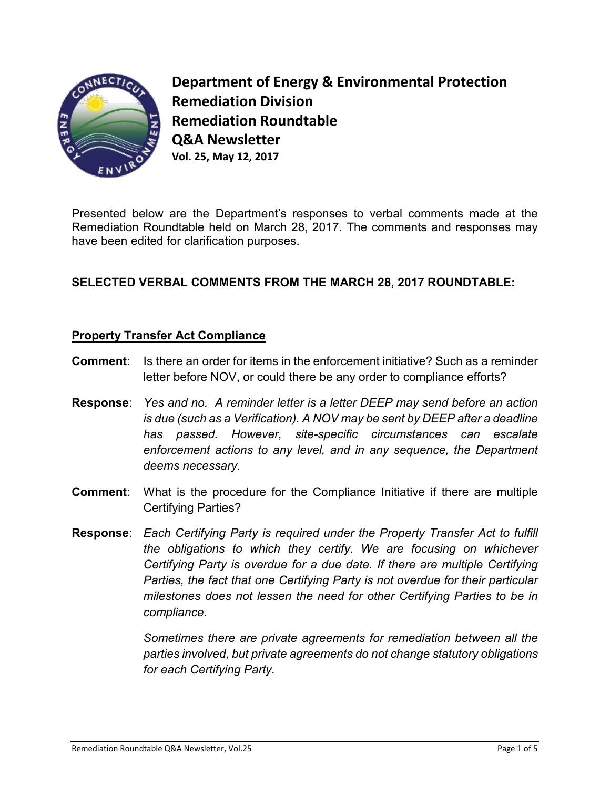

**Department of Energy & Environmental Protection Remediation Division Remediation Roundtable Q&A Newsletter Vol. 25, May 12, 2017**

Presented below are the Department's responses to verbal comments made at the Remediation Roundtable held on March 28, 2017. The comments and responses may have been edited for clarification purposes.

# **SELECTED VERBAL COMMENTS FROM THE MARCH 28, 2017 ROUNDTABLE:**

## **Property Transfer Act Compliance**

- **Comment:** Is there an order for items in the enforcement initiative? Such as a reminder letter before NOV, or could there be any order to compliance efforts?
- **Response**: *Yes and no. A reminder letter is a letter DEEP may send before an action is due (such as a Verification). A NOV may be sent by DEEP after a deadline has passed. However, site-specific circumstances can escalate enforcement actions to any level, and in any sequence, the Department deems necessary.*
- **Comment**: What is the procedure for the Compliance Initiative if there are multiple Certifying Parties?
- **Response**: *Each Certifying Party is required under the Property Transfer Act to fulfill the obligations to which they certify. We are focusing on whichever Certifying Party is overdue for a due date. If there are multiple Certifying Parties, the fact that one Certifying Party is not overdue for their particular milestones does not lessen the need for other Certifying Parties to be in compliance*.

*Sometimes there are private agreements for remediation between all the parties involved, but private agreements do not change statutory obligations for each Certifying Party.*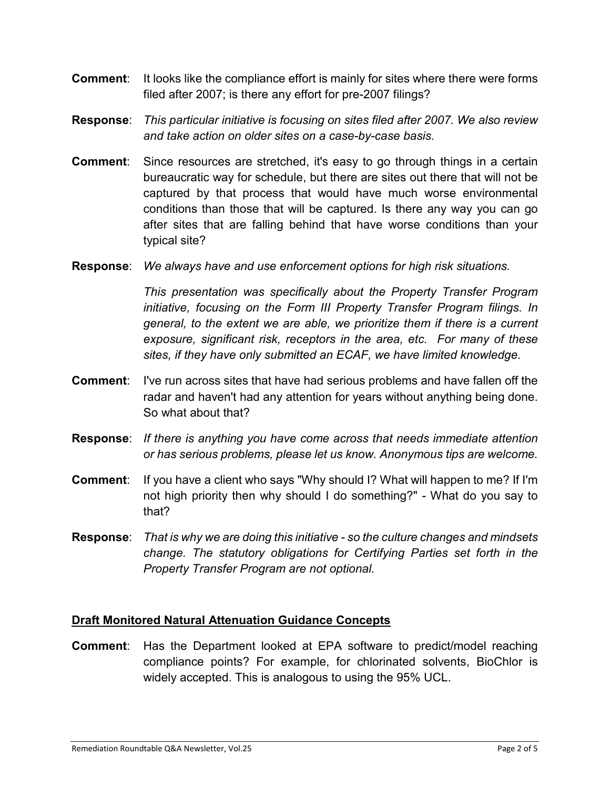- **Comment:** It looks like the compliance effort is mainly for sites where there were forms filed after 2007; is there any effort for pre-2007 filings?
- **Response**: *This particular initiative is focusing on sites filed after 2007. We also review and take action on older sites on a case-by-case basis.*
- **Comment**: Since resources are stretched, it's easy to go through things in a certain bureaucratic way for schedule, but there are sites out there that will not be captured by that process that would have much worse environmental conditions than those that will be captured. Is there any way you can go after sites that are falling behind that have worse conditions than your typical site?
- **Response**: *We always have and use enforcement options for high risk situations.*

*This presentation was specifically about the Property Transfer Program initiative, focusing on the Form III Property Transfer Program filings. In general, to the extent we are able, we prioritize them if there is a current exposure, significant risk, receptors in the area, etc. For many of these sites, if they have only submitted an ECAF, we have limited knowledge.* 

- **Comment**: I've run across sites that have had serious problems and have fallen off the radar and haven't had any attention for years without anything being done. So what about that?
- **Response**: *If there is anything you have come across that needs immediate attention or has serious problems, please let us know. Anonymous tips are welcome.*
- **Comment**: If you have a client who says "Why should I? What will happen to me? If I'm not high priority then why should I do something?" - What do you say to that?
- **Response**: *That is why we are doing this initiative so the culture changes and mindsets change. The statutory obligations for Certifying Parties set forth in the Property Transfer Program are not optional.*

# **Draft Monitored Natural Attenuation Guidance Concepts**

**Comment**: Has the Department looked at EPA software to predict/model reaching compliance points? For example, for chlorinated solvents, BioChlor is widely accepted. This is analogous to using the 95% UCL.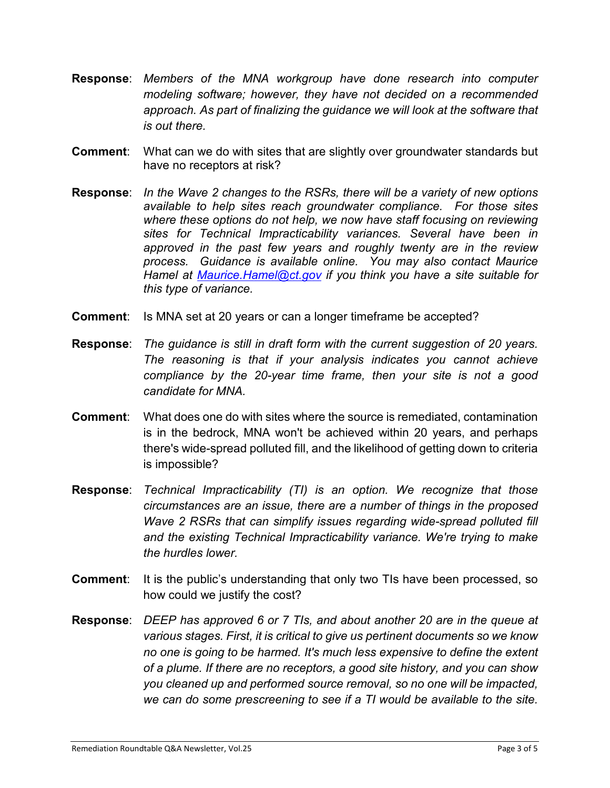- **Response**: *Members of the MNA workgroup have done research into computer modeling software; however, they have not decided on a recommended approach. As part of finalizing the guidance we will look at the software that is out there.*
- **Comment**: What can we do with sites that are slightly over groundwater standards but have no receptors at risk?
- **Response**: *In the Wave 2 changes to the RSRs, there will be a variety of new options available to help sites reach groundwater compliance. For those sites*  where these options do not help, we now have staff focusing on reviewing *sites for Technical Impracticability variances. Several have been in approved in the past few years and roughly twenty are in the review process. Guidance is available online. You may also contact Maurice Hamel at [Maurice.Hamel@ct.gov](mailto:Maurice.Hamel@ct.gov) if you think you have a site suitable for this type of variance.*
- **Comment:** Is MNA set at 20 years or can a longer timeframe be accepted?
- **Response**: *The guidance is still in draft form with the current suggestion of 20 years. The reasoning is that if your analysis indicates you cannot achieve compliance by the 20-year time frame, then your site is not a good candidate for MNA.*
- **Comment**: What does one do with sites where the source is remediated, contamination is in the bedrock, MNA won't be achieved within 20 years, and perhaps there's wide-spread polluted fill, and the likelihood of getting down to criteria is impossible?
- **Response**: *Technical Impracticability (TI) is an option. We recognize that those circumstances are an issue, there are a number of things in the proposed Wave 2 RSRs that can simplify issues regarding wide-spread polluted fill and the existing Technical Impracticability variance. We're trying to make the hurdles lower.*
- **Comment:** It is the public's understanding that only two TIs have been processed, so how could we justify the cost?
- **Response**: *DEEP has approved 6 or 7 TIs, and about another 20 are in the queue at various stages. First, it is critical to give us pertinent documents so we know no one is going to be harmed. It's much less expensive to define the extent of a plume. If there are no receptors, a good site history, and you can show you cleaned up and performed source removal, so no one will be impacted, we can do some prescreening to see if a TI would be available to the site.*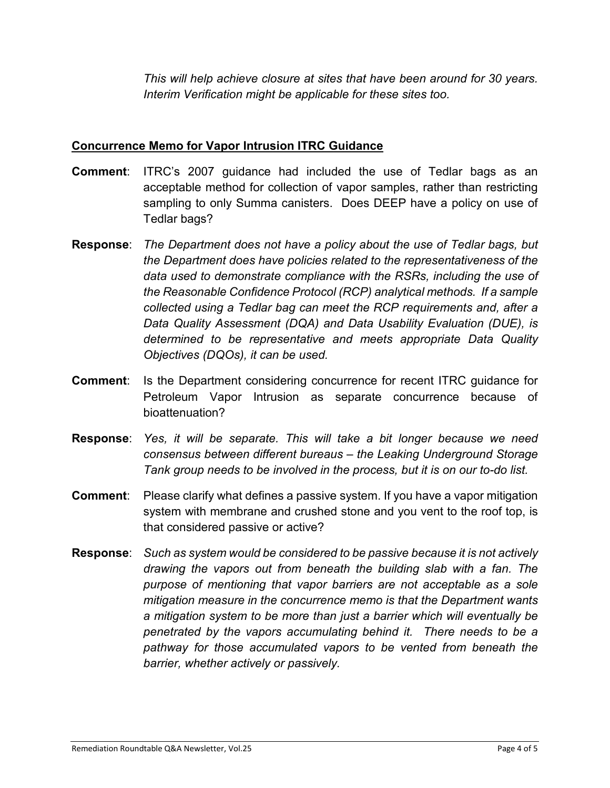*This will help achieve closure at sites that have been around for 30 years. Interim Verification might be applicable for these sites too.*

#### **Concurrence Memo for Vapor Intrusion ITRC Guidance**

- **Comment**: ITRC's 2007 guidance had included the use of Tedlar bags as an acceptable method for collection of vapor samples, rather than restricting sampling to only Summa canisters. Does DEEP have a policy on use of Tedlar bags?
- **Response**: *The Department does not have a policy about the use of Tedlar bags, but the Department does have policies related to the representativeness of the data used to demonstrate compliance with the RSRs, including the use of the Reasonable Confidence Protocol (RCP) analytical methods. If a sample collected using a Tedlar bag can meet the RCP requirements and, after a Data Quality Assessment (DQA) and Data Usability Evaluation (DUE), is determined to be representative and meets appropriate Data Quality Objectives (DQOs), it can be used.*
- **Comment:** Is the Department considering concurrence for recent ITRC guidance for Petroleum Vapor Intrusion as separate concurrence because of bioattenuation?
- **Response**: *Yes, it will be separate. This will take a bit longer because we need consensus between different bureaus – the Leaking Underground Storage Tank group needs to be involved in the process, but it is on our to-do list.*
- **Comment:** Please clarify what defines a passive system. If you have a vapor mitigation system with membrane and crushed stone and you vent to the roof top, is that considered passive or active?
- **Response**: *Such as system would be considered to be passive because it is not actively drawing the vapors out from beneath the building slab with a fan. The purpose of mentioning that vapor barriers are not acceptable as a sole mitigation measure in the concurrence memo is that the Department wants a mitigation system to be more than just a barrier which will eventually be penetrated by the vapors accumulating behind it. There needs to be a pathway for those accumulated vapors to be vented from beneath the barrier, whether actively or passively.*